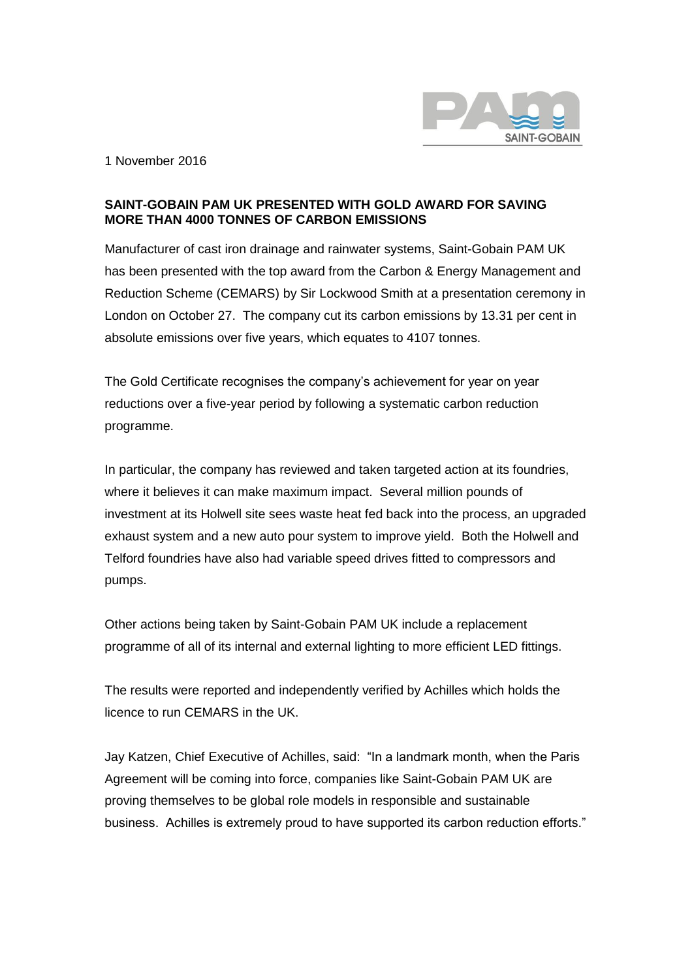

1 November 2016

## **SAINT-GOBAIN PAM UK PRESENTED WITH GOLD AWARD FOR SAVING MORE THAN 4000 TONNES OF CARBON EMISSIONS**

Manufacturer of cast iron drainage and rainwater systems, Saint-Gobain PAM UK has been presented with the top award from the Carbon & Energy Management and Reduction Scheme (CEMARS) by Sir Lockwood Smith at a presentation ceremony in London on October 27. The company cut its carbon emissions by 13.31 per cent in absolute emissions over five years, which equates to 4107 tonnes.

The Gold Certificate recognises the company's achievement for year on year reductions over a five-year period by following a systematic carbon reduction programme.

In particular, the company has reviewed and taken targeted action at its foundries, where it believes it can make maximum impact. Several million pounds of investment at its Holwell site sees waste heat fed back into the process, an upgraded exhaust system and a new auto pour system to improve yield. Both the Holwell and Telford foundries have also had variable speed drives fitted to compressors and pumps.

Other actions being taken by Saint-Gobain PAM UK include a replacement programme of all of its internal and external lighting to more efficient LED fittings.

The results were reported and independently verified by Achilles which holds the licence to run CEMARS in the UK.

Jay Katzen, Chief Executive of Achilles, said: "In a landmark month, when the Paris Agreement will be coming into force, companies like Saint-Gobain PAM UK are proving themselves to be global role models in responsible and sustainable business. Achilles is extremely proud to have supported its carbon reduction efforts."